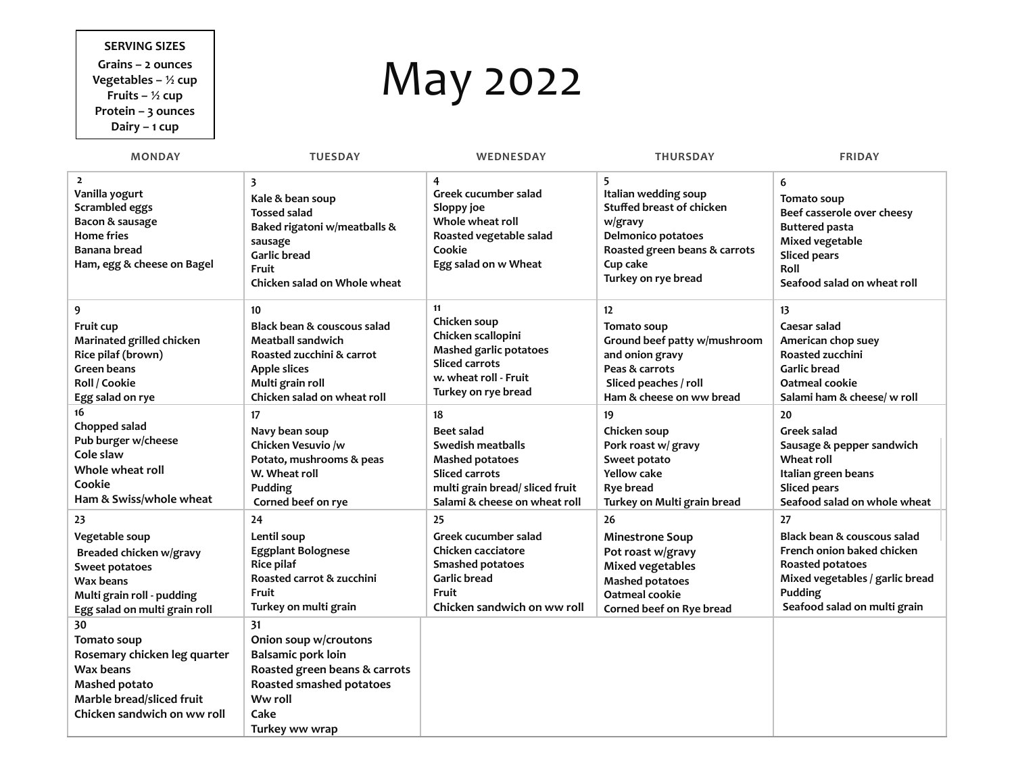## **SERVING SIZES**

**Grains – 2 ounces Vegetables – ½ cup Fruits – ½ cup Protein – 3 ounces Dairy – 1 cup**

## May 2022

| <b>MONDAY</b>                                                                                                                                   | <b>TUESDAY</b>                                                                                                                                             | WEDNESDAY                                                                                                                | <b>THURSDAY</b>                                                                                                                                                           | <b>FRIDAY</b>                                                                                                                                            |
|-------------------------------------------------------------------------------------------------------------------------------------------------|------------------------------------------------------------------------------------------------------------------------------------------------------------|--------------------------------------------------------------------------------------------------------------------------|---------------------------------------------------------------------------------------------------------------------------------------------------------------------------|----------------------------------------------------------------------------------------------------------------------------------------------------------|
| $\overline{2}$<br>Vanilla yogurt<br>Scrambled eggs<br>Bacon & sausage<br><b>Home fries</b><br><b>Banana bread</b><br>Ham, egg & cheese on Bagel | 3<br>Kale & bean soup<br><b>Tossed salad</b><br>Baked rigatoni w/meatballs &<br>sausage<br><b>Garlic bread</b><br>Fruit<br>Chicken salad on Whole wheat    | 4<br>Greek cucumber salad<br>Sloppy joe<br>Whole wheat roll<br>Roasted vegetable salad<br>Cookie<br>Egg salad on w Wheat | 5<br>Italian wedding soup<br><b>Stuffed breast of chicken</b><br>w/gravy<br><b>Delmonico potatoes</b><br>Roasted green beans & carrots<br>Cup cake<br>Turkey on rye bread | 6<br>Tomato soup<br>Beef casserole over cheesy<br><b>Buttered pasta</b><br>Mixed vegetable<br><b>Sliced pears</b><br>Roll<br>Seafood salad on wheat roll |
| 9                                                                                                                                               | 10                                                                                                                                                         | 11                                                                                                                       | 12                                                                                                                                                                        | 13                                                                                                                                                       |
| Fruit cup                                                                                                                                       | Black bean & couscous salad                                                                                                                                | Chicken soup                                                                                                             | Tomato soup                                                                                                                                                               | Caesar salad                                                                                                                                             |
| Marinated grilled chicken                                                                                                                       | <b>Meatball sandwich</b>                                                                                                                                   | Chicken scallopini                                                                                                       | Ground beef patty w/mushroom                                                                                                                                              | American chop suey                                                                                                                                       |
| Rice pilaf (brown)                                                                                                                              | Roasted zucchini & carrot                                                                                                                                  | <b>Mashed garlic potatoes</b>                                                                                            | and onion gravy                                                                                                                                                           | <b>Roasted zucchini</b>                                                                                                                                  |
| <b>Green beans</b>                                                                                                                              | <b>Apple slices</b>                                                                                                                                        | <b>Sliced carrots</b>                                                                                                    | Peas & carrots                                                                                                                                                            | <b>Garlic bread</b>                                                                                                                                      |
| Roll / Cookie                                                                                                                                   | Multi grain roll                                                                                                                                           | w. wheat roll - Fruit                                                                                                    | Sliced peaches / roll                                                                                                                                                     | Oatmeal cookie                                                                                                                                           |
| Egg salad on rye                                                                                                                                | Chicken salad on wheat roll                                                                                                                                | Turkey on rye bread                                                                                                      | Ham & cheese on ww bread                                                                                                                                                  | Salami ham & cheese/ w roll                                                                                                                              |
| 16                                                                                                                                              | 17                                                                                                                                                         | 18                                                                                                                       | 19                                                                                                                                                                        | 20                                                                                                                                                       |
| Chopped salad                                                                                                                                   | Navy bean soup                                                                                                                                             | <b>Beet salad</b>                                                                                                        | Chicken soup                                                                                                                                                              | Greek salad                                                                                                                                              |
| Pub burger w/cheese                                                                                                                             | Chicken Vesuvio /w                                                                                                                                         | Swedish meatballs                                                                                                        | Pork roast w/ gravy                                                                                                                                                       | Sausage & pepper sandwich                                                                                                                                |
| Cole slaw                                                                                                                                       | Potato, mushrooms & peas                                                                                                                                   | <b>Mashed potatoes</b>                                                                                                   | Sweet potato                                                                                                                                                              | <b>Wheat roll</b>                                                                                                                                        |
| Whole wheat roll                                                                                                                                | W. Wheat roll                                                                                                                                              | <b>Sliced carrots</b>                                                                                                    | <b>Yellow cake</b>                                                                                                                                                        | Italian green beans                                                                                                                                      |
| Cookie                                                                                                                                          | Pudding                                                                                                                                                    | multi grain bread/ sliced fruit                                                                                          | <b>Rye bread</b>                                                                                                                                                          | <b>Sliced pears</b>                                                                                                                                      |
| Ham & Swiss/whole wheat                                                                                                                         | Corned beef on rye                                                                                                                                         | Salami & cheese on wheat roll                                                                                            | Turkey on Multi grain bread                                                                                                                                               | Seafood salad on whole wheat                                                                                                                             |
| 23                                                                                                                                              | 24                                                                                                                                                         | 25                                                                                                                       | 26                                                                                                                                                                        | 27                                                                                                                                                       |
| Vegetable soup                                                                                                                                  | Lentil soup                                                                                                                                                | Greek cucumber salad                                                                                                     | <b>Minestrone Soup</b>                                                                                                                                                    | Black bean & couscous salad                                                                                                                              |
| Breaded chicken w/gravy                                                                                                                         | <b>Eggplant Bolognese</b>                                                                                                                                  | Chicken cacciatore                                                                                                       | Pot roast w/gravy                                                                                                                                                         | French onion baked chicken                                                                                                                               |
| Sweet potatoes                                                                                                                                  | <b>Rice pilaf</b>                                                                                                                                          | <b>Smashed potatoes</b>                                                                                                  | <b>Mixed vegetables</b>                                                                                                                                                   | Roasted potatoes                                                                                                                                         |
| Wax beans                                                                                                                                       | Roasted carrot & zucchini                                                                                                                                  | <b>Garlic bread</b>                                                                                                      | <b>Mashed potatoes</b>                                                                                                                                                    | Mixed vegetables / garlic bread                                                                                                                          |
| Multi grain roll - pudding                                                                                                                      | Fruit                                                                                                                                                      | Fruit                                                                                                                    | Oatmeal cookie                                                                                                                                                            | Pudding                                                                                                                                                  |
| Egg salad on multi grain roll                                                                                                                   | Turkey on multi grain                                                                                                                                      | Chicken sandwich on ww roll                                                                                              | Corned beef on Rye bread                                                                                                                                                  | Seafood salad on multi grain                                                                                                                             |
| 30<br>Tomato soup<br>Rosemary chicken leg quarter<br>Wax beans<br>Mashed potato<br>Marble bread/sliced fruit<br>Chicken sandwich on ww roll     | 31<br>Onion soup w/croutons<br><b>Balsamic pork loin</b><br>Roasted green beans & carrots<br>Roasted smashed potatoes<br>Ww roll<br>Cake<br>Turkey ww wrap |                                                                                                                          |                                                                                                                                                                           |                                                                                                                                                          |